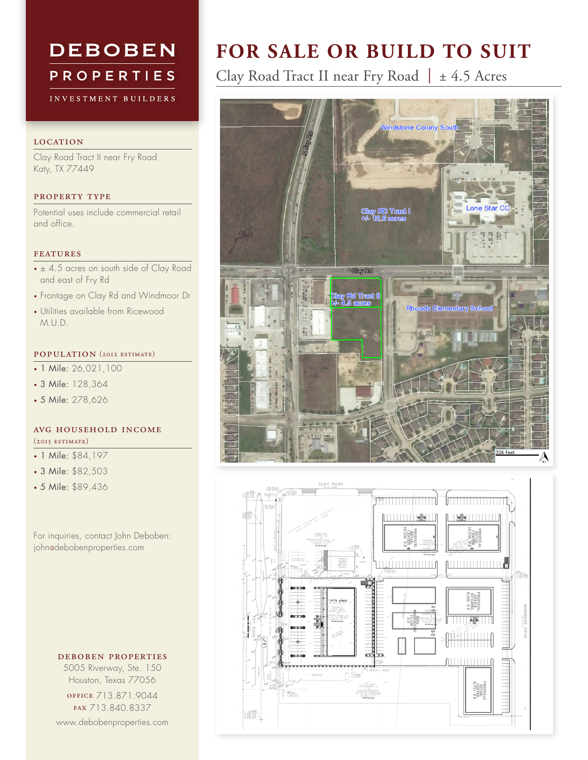# **DEBOBEN PROPERTIES**

INVESTMENT BUILDERS

#### **LOCATION**

Clay Road Tract II near Fry Road Katy, TX 77449

## property type

Potential uses include commercial retail and office.

#### features

- ± 4.5 acres on south side of Clay Road and east of Fry Rd
- Frontage on Clay Rd and Windmoor Dr
- • Utilities available from Ricewood M.U.D.

# population (2012 estimate)

- 1 Mile: 26,021,100
- 3 Mile: 128,364
- 5 Mile: 278,626

## avg household income (2015 estimate)

• 1 Mile: \$84,197

- 3 Mile: \$82,503
- 5 Mile: \$89,436

For inquiries, contact John Deboben: john@debobenproperties.com

deboben properties

5005 Riverway, Ste. 150 Houston, Texas 77056 office 713.871.9044 fax 713.840.8337 www.debobenproperties.com

# **FOR SALE OR BUILD TO SUIT**

Clay Road Tract II near Fry Road *|* ± 4.5 Acres